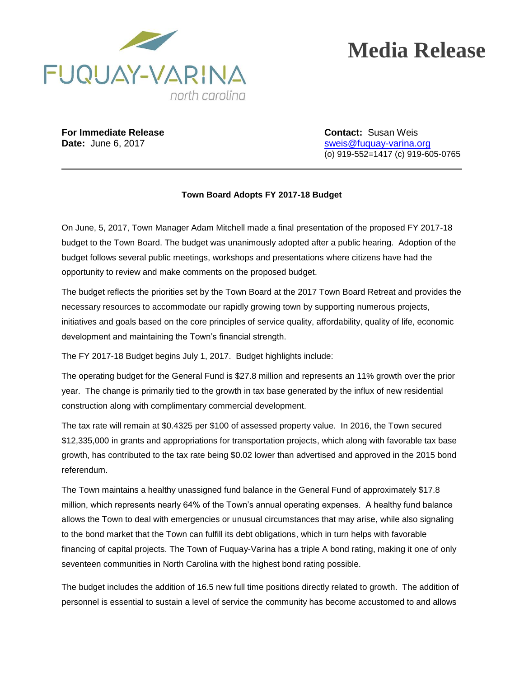

## **Media Release**

**For Immediate Release Contact:** Susan Weis

**Date:** June 6, 2017 **State:** The sweis@fuquay-varina.org (o) 919-552=1417 (c) 919-605-0765

## **Town Board Adopts FY 2017-18 Budget**

On June, 5, 2017, Town Manager Adam Mitchell made a final presentation of the proposed FY 2017-18 budget to the Town Board. The budget was unanimously adopted after a public hearing. Adoption of the budget follows several public meetings, workshops and presentations where citizens have had the opportunity to review and make comments on the proposed budget.

The budget reflects the priorities set by the Town Board at the 2017 Town Board Retreat and provides the necessary resources to accommodate our rapidly growing town by supporting numerous projects, initiatives and goals based on the core principles of service quality, affordability, quality of life, economic development and maintaining the Town's financial strength.

The FY 2017-18 Budget begins July 1, 2017. Budget highlights include:

The operating budget for the General Fund is \$27.8 million and represents an 11% growth over the prior year. The change is primarily tied to the growth in tax base generated by the influx of new residential construction along with complimentary commercial development.

The tax rate will remain at \$0.4325 per \$100 of assessed property value. In 2016, the Town secured \$12,335,000 in grants and appropriations for transportation projects, which along with favorable tax base growth, has contributed to the tax rate being \$0.02 lower than advertised and approved in the 2015 bond referendum.

The Town maintains a healthy unassigned fund balance in the General Fund of approximately \$17.8 million, which represents nearly 64% of the Town's annual operating expenses. A healthy fund balance allows the Town to deal with emergencies or unusual circumstances that may arise, while also signaling to the bond market that the Town can fulfill its debt obligations, which in turn helps with favorable financing of capital projects. The Town of Fuquay-Varina has a triple A bond rating, making it one of only seventeen communities in North Carolina with the highest bond rating possible.

The budget includes the addition of 16.5 new full time positions directly related to growth. The addition of personnel is essential to sustain a level of service the community has become accustomed to and allows